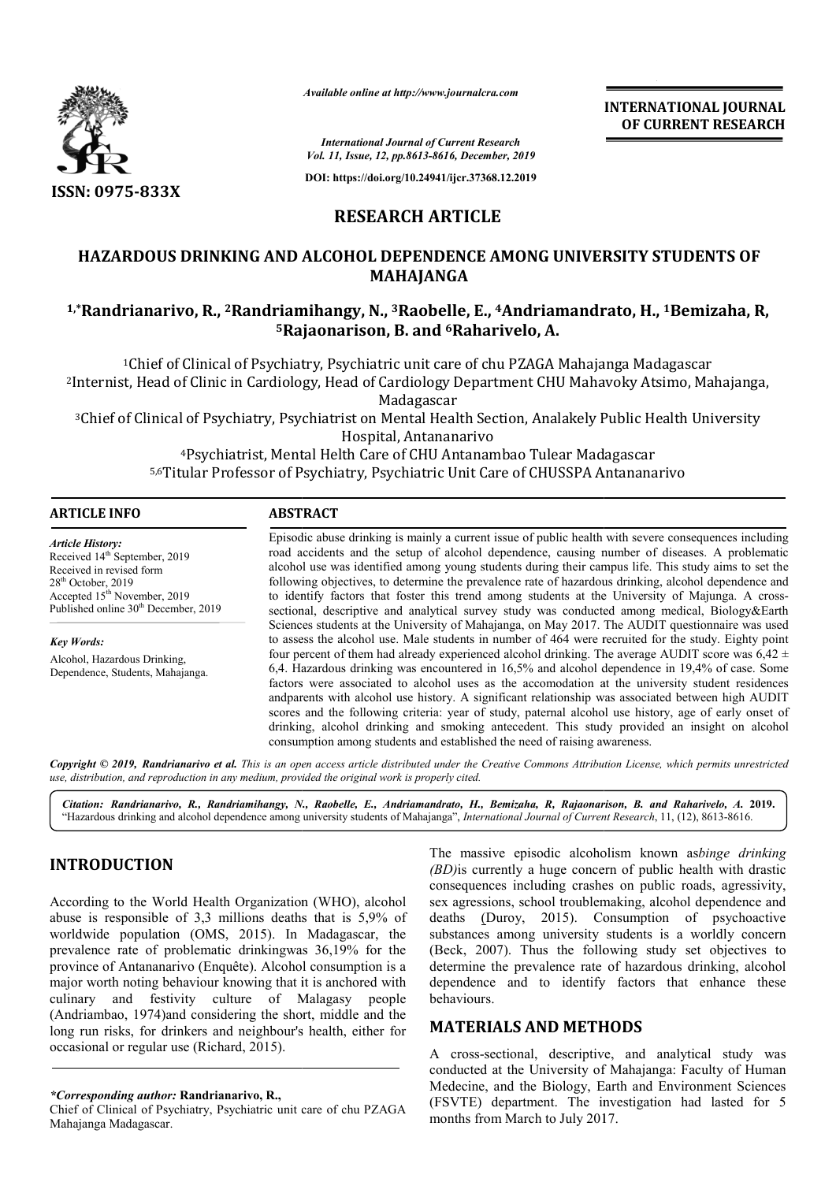

*Available online at http://www.journalcra.com*

### **RESEARCH ARTICLE**

# **HAZARDOUS DRINKING AND ALCOHOL DEPENDENCE AMONG UNIVERSITY STUDENTS OF**  HAZARDOUS DRINKING AND ALCOHOL DEPENDENCE AMONG UNIVERSITY STUDENTS OF<br>MAHAJANGA<br><sup>1,\*</sup>Randrianarivo, R., <sup>2</sup>Randriamihangy, N., <sup>3</sup>Raobelle, E., <sup>4</sup>Andriamandrato, H., <sup>1</sup>Bemizaha, R, **MAHAJANGA**

# **5Rajaonarison, B. and Rajaonarison, 6Raharivelo, A.**

|                                                                                                                                                                                                                                                                                                                                                                                                                                                                                                                                                                                                                                               |                                                                                                                                                                                                                                                                                                                                                                                                                                                                                                                                                                                                                                                                                                                                                                                                                                                                                                                                                                                                                                                                                                                                                                                                                                                                                                                                                                                                                                                                                                                                                  | <b>INTERNATIONAL JOURNAL</b><br>OF CURRENT RESEARCH                                                                                                                                                                                                                                                                                                                                |  |
|-----------------------------------------------------------------------------------------------------------------------------------------------------------------------------------------------------------------------------------------------------------------------------------------------------------------------------------------------------------------------------------------------------------------------------------------------------------------------------------------------------------------------------------------------------------------------------------------------------------------------------------------------|--------------------------------------------------------------------------------------------------------------------------------------------------------------------------------------------------------------------------------------------------------------------------------------------------------------------------------------------------------------------------------------------------------------------------------------------------------------------------------------------------------------------------------------------------------------------------------------------------------------------------------------------------------------------------------------------------------------------------------------------------------------------------------------------------------------------------------------------------------------------------------------------------------------------------------------------------------------------------------------------------------------------------------------------------------------------------------------------------------------------------------------------------------------------------------------------------------------------------------------------------------------------------------------------------------------------------------------------------------------------------------------------------------------------------------------------------------------------------------------------------------------------------------------------------|------------------------------------------------------------------------------------------------------------------------------------------------------------------------------------------------------------------------------------------------------------------------------------------------------------------------------------------------------------------------------------|--|
|                                                                                                                                                                                                                                                                                                                                                                                                                                                                                                                                                                                                                                               |                                                                                                                                                                                                                                                                                                                                                                                                                                                                                                                                                                                                                                                                                                                                                                                                                                                                                                                                                                                                                                                                                                                                                                                                                                                                                                                                                                                                                                                                                                                                                  | <b>International Journal of Current Research</b><br>Vol. 11, Issue, 12, pp.8613-8616, December, 2019                                                                                                                                                                                                                                                                               |  |
|                                                                                                                                                                                                                                                                                                                                                                                                                                                                                                                                                                                                                                               |                                                                                                                                                                                                                                                                                                                                                                                                                                                                                                                                                                                                                                                                                                                                                                                                                                                                                                                                                                                                                                                                                                                                                                                                                                                                                                                                                                                                                                                                                                                                                  | DOI: https://doi.org/10.24941/ijcr.37368.12.2019                                                                                                                                                                                                                                                                                                                                   |  |
| ISSN: 0975-833X                                                                                                                                                                                                                                                                                                                                                                                                                                                                                                                                                                                                                               |                                                                                                                                                                                                                                                                                                                                                                                                                                                                                                                                                                                                                                                                                                                                                                                                                                                                                                                                                                                                                                                                                                                                                                                                                                                                                                                                                                                                                                                                                                                                                  |                                                                                                                                                                                                                                                                                                                                                                                    |  |
|                                                                                                                                                                                                                                                                                                                                                                                                                                                                                                                                                                                                                                               | <b>RESEARCH ARTICLE</b>                                                                                                                                                                                                                                                                                                                                                                                                                                                                                                                                                                                                                                                                                                                                                                                                                                                                                                                                                                                                                                                                                                                                                                                                                                                                                                                                                                                                                                                                                                                          |                                                                                                                                                                                                                                                                                                                                                                                    |  |
|                                                                                                                                                                                                                                                                                                                                                                                                                                                                                                                                                                                                                                               |                                                                                                                                                                                                                                                                                                                                                                                                                                                                                                                                                                                                                                                                                                                                                                                                                                                                                                                                                                                                                                                                                                                                                                                                                                                                                                                                                                                                                                                                                                                                                  | HAZARDOUS DRINKING AND ALCOHOL DEPENDENCE AMONG UNIVERSITY STUDENTS OF<br><b>MAHAJANGA</b>                                                                                                                                                                                                                                                                                         |  |
|                                                                                                                                                                                                                                                                                                                                                                                                                                                                                                                                                                                                                                               | <sup>5</sup> Rajaonarison, B. and <sup>6</sup> Raharivelo, A.                                                                                                                                                                                                                                                                                                                                                                                                                                                                                                                                                                                                                                                                                                                                                                                                                                                                                                                                                                                                                                                                                                                                                                                                                                                                                                                                                                                                                                                                                    | <sup>1,*</sup> Randrianarivo, R., <sup>2</sup> Randriamihangy, N., <sup>3</sup> Raobelle, E., <sup>4</sup> Andriamandrato, H., <sup>1</sup> Bemizaha, R,                                                                                                                                                                                                                           |  |
|                                                                                                                                                                                                                                                                                                                                                                                                                                                                                                                                                                                                                                               | Madagascar                                                                                                                                                                                                                                                                                                                                                                                                                                                                                                                                                                                                                                                                                                                                                                                                                                                                                                                                                                                                                                                                                                                                                                                                                                                                                                                                                                                                                                                                                                                                       | <sup>1</sup> Chief of Clinical of Psychiatry, Psychiatric unit care of chu PZAGA Mahajanga Madagascar<br><sup>2</sup> Internist, Head of Clinic in Cardiology, Head of Cardiology Department CHU Mahavoky Atsimo, Mahajanga,<br><sup>3</sup> Chief of Clinical of Psychiatry, Psychiatrist on Mental Health Section, Analakely Public Health University                            |  |
|                                                                                                                                                                                                                                                                                                                                                                                                                                                                                                                                                                                                                                               | Hospital, Antananarivo                                                                                                                                                                                                                                                                                                                                                                                                                                                                                                                                                                                                                                                                                                                                                                                                                                                                                                                                                                                                                                                                                                                                                                                                                                                                                                                                                                                                                                                                                                                           | <sup>4</sup> Psychiatrist, Mental Helth Care of CHU Antanambao Tulear Madagascar<br>5,6Titular Professor of Psychiatry, Psychiatric Unit Care of CHUSSPA Antananarivo                                                                                                                                                                                                              |  |
| <b>ARTICLE INFO</b>                                                                                                                                                                                                                                                                                                                                                                                                                                                                                                                                                                                                                           | <b>ABSTRACT</b>                                                                                                                                                                                                                                                                                                                                                                                                                                                                                                                                                                                                                                                                                                                                                                                                                                                                                                                                                                                                                                                                                                                                                                                                                                                                                                                                                                                                                                                                                                                                  |                                                                                                                                                                                                                                                                                                                                                                                    |  |
| <b>Article History:</b><br>Received 14 <sup>th</sup> September, 2019<br>Received in revised form<br>28 <sup>th</sup> October, 2019<br>Accepted 15 <sup>th</sup> November, 2019<br>Published online 30 <sup>th</sup> December, 2019<br><b>Key Words:</b><br>Alcohol, Hazardous Drinking,<br>Dependence, Students, Mahajanga.                                                                                                                                                                                                                                                                                                                   | Episodic abuse drinking is mainly a current issue of public health with severe consequences including<br>road accidents and the setup of alcohol dependence, causing number of diseases. A problematic<br>alcohol use was identified among young students during their campus life. This study aims to set the<br>following objectives, to determine the prevalence rate of hazardous drinking, alcohol dependence and<br>to identify factors that foster this trend among students at the University of Majunga. A cross-<br>sectional, descriptive and analytical survey study was conducted among medical, Biology&Earth<br>Sciences students at the University of Mahajanga, on May 2017. The AUDIT questionnaire was used<br>to assess the alcohol use. Male students in number of 464 were recruited for the study. Eighty point<br>four percent of them had already experienced alcohol drinking. The average AUDIT score was $6.42 \pm$<br>6,4. Hazardous drinking was encountered in 16,5% and alcohol dependence in 19,4% of case. Some<br>factors were associated to alcohol uses as the accomodation at the university student residences<br>andparents with alcohol use history. A significant relationship was associated between high AUDIT<br>scores and the following criteria: year of study, paternal alcohol use history, age of early onset of<br>drinking, alcohol drinking and smoking antecedent. This study provided an insight on alcohol<br>consumption among students and established the need of raising awareness. |                                                                                                                                                                                                                                                                                                                                                                                    |  |
| use, distribution, and reproduction in any medium, provided the original work is properly cited.                                                                                                                                                                                                                                                                                                                                                                                                                                                                                                                                              |                                                                                                                                                                                                                                                                                                                                                                                                                                                                                                                                                                                                                                                                                                                                                                                                                                                                                                                                                                                                                                                                                                                                                                                                                                                                                                                                                                                                                                                                                                                                                  | Copyright © 2019, Randrianarivo et al. This is an open access article distributed under the Creative Commons Attribution License, which permits unrestricted                                                                                                                                                                                                                       |  |
|                                                                                                                                                                                                                                                                                                                                                                                                                                                                                                                                                                                                                                               |                                                                                                                                                                                                                                                                                                                                                                                                                                                                                                                                                                                                                                                                                                                                                                                                                                                                                                                                                                                                                                                                                                                                                                                                                                                                                                                                                                                                                                                                                                                                                  | Citation: Randrianarivo, R., Randriamihangy, N., Raobelle, E., Andriamandrato, H., Bemizaha, R, Rajaonarison, B. and Raharivelo, A. 2019.<br>"Hazardous drinking and alcohol dependence among university students of Mahajanga", International Journal of Current Research, 11, (12), 8613-8616.                                                                                   |  |
| <b>INTRODUCTION</b><br>According to the World Health Organization (WHO), alcohol<br>abuse is responsible of 3,3 millions deaths that is 5,9% of<br>worldwide population (OMS, 2015). In Madagascar, the<br>prevalence rate of problematic drinkingwas 36,19% for the<br>province of Antananarivo (Enquête). Alcohol consumption is a<br>major worth noting behaviour knowing that it is anchored with<br>and festivity culture of Malagasy people<br>culinary<br>(Andriambao, 1974)and considering the short, middle and the<br>long run risks, for drinkers and neighbour's health, either for<br>occasional or regular use (Richard, 2015). |                                                                                                                                                                                                                                                                                                                                                                                                                                                                                                                                                                                                                                                                                                                                                                                                                                                                                                                                                                                                                                                                                                                                                                                                                                                                                                                                                                                                                                                                                                                                                  | The massive episodic alcoholism known asbinge drinking<br>(BD) is currently a huge concern of public health with drastic<br>consequences including crashes on public roads, agressivity,                                                                                                                                                                                           |  |
|                                                                                                                                                                                                                                                                                                                                                                                                                                                                                                                                                                                                                                               |                                                                                                                                                                                                                                                                                                                                                                                                                                                                                                                                                                                                                                                                                                                                                                                                                                                                                                                                                                                                                                                                                                                                                                                                                                                                                                                                                                                                                                                                                                                                                  | sex agressions, school troublemaking, alcohol dependence and<br>deaths (Duroy, 2015). Consumption of psychoactive<br>substances among university students is a worldly concern<br>(Beck, 2007). Thus the following study set objectives to<br>determine the prevalence rate of hazardous drinking, alcohol<br>dependence and to identify factors that enhance these<br>behaviours. |  |
|                                                                                                                                                                                                                                                                                                                                                                                                                                                                                                                                                                                                                                               |                                                                                                                                                                                                                                                                                                                                                                                                                                                                                                                                                                                                                                                                                                                                                                                                                                                                                                                                                                                                                                                                                                                                                                                                                                                                                                                                                                                                                                                                                                                                                  | <b>MATERIALS AND METHODS</b><br>A cross-sectional, descriptive, and analytical study was<br>conducted at the University of Mahajanga: Faculty of Human                                                                                                                                                                                                                             |  |
| *Corresponding author: Randrianarivo, R.,<br>Chief of Clinical of Developtive Developtive unit care of chu $DZAGA$                                                                                                                                                                                                                                                                                                                                                                                                                                                                                                                            |                                                                                                                                                                                                                                                                                                                                                                                                                                                                                                                                                                                                                                                                                                                                                                                                                                                                                                                                                                                                                                                                                                                                                                                                                                                                                                                                                                                                                                                                                                                                                  | Medecine, and the Biology, Earth and Environment Sciences<br>(FSVTE) department. The investigation had lasted for 5                                                                                                                                                                                                                                                                |  |

## **INTRODUCTION**

Chief of Clinical of Psychiatry, Psychiatric unit care of chu PZAGA Mahajanga Madagascar.

#### **MATERIALS AND METHODS METHODS**

A cross-sectional, descriptive, and analytical study was A cross-sectional, descriptive, and analytical study was<br>conducted at the University of Mahajanga: Faculty of Human Medecine, and the Biology, Earth and Environment Sciences (FSVTE) department. The investigation had lasted for 5 months from March to July 2017.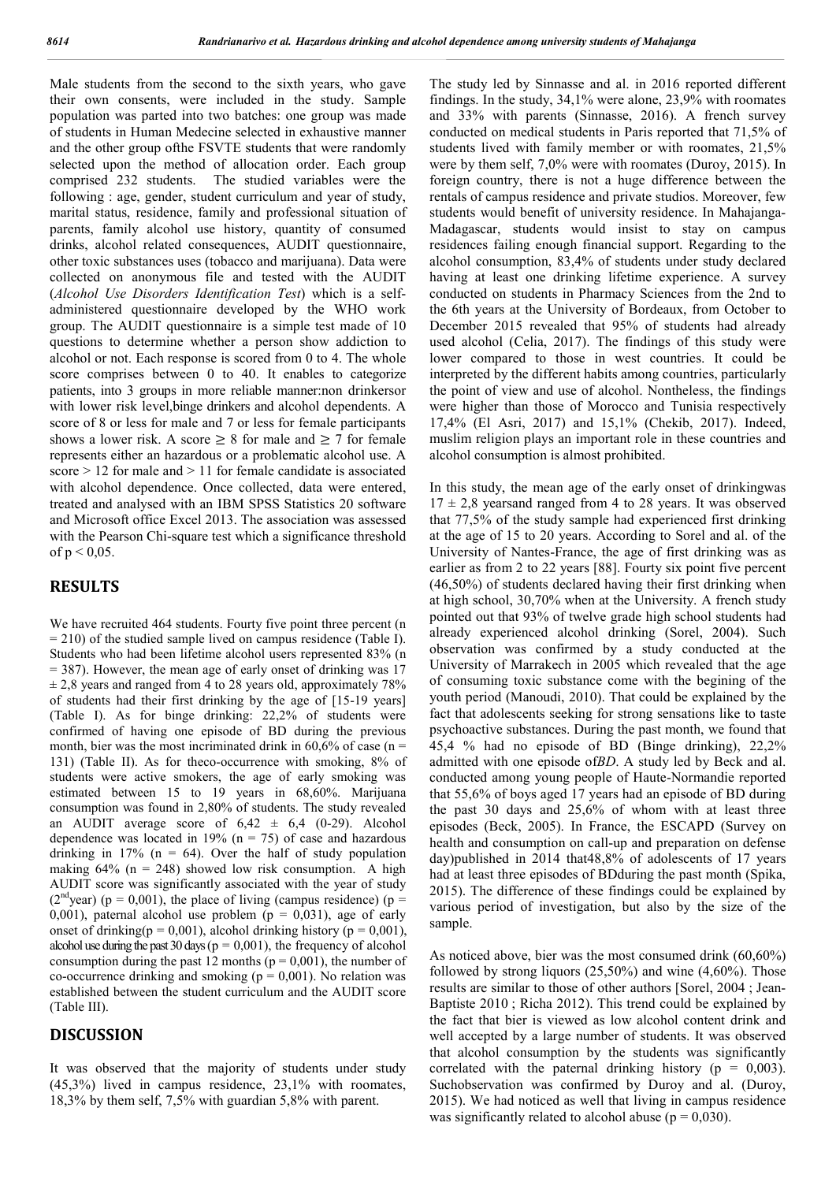Male students from the second to the sixth years, who gave their own consents, were included in the study. Sample population was parted into two batches: one group was made of students in Human Medecine selected in exhaustive manner and the other group ofthe FSVTE students that were randomly selected upon the method of allocation order. Each group comprised 232 students. The studied variables were the following : age, gender, student curriculum and year of study, marital status, residence, family and professional situation of parents, family alcohol use history, quantity of consumed drinks, alcohol related consequences, AUDIT questionnaire, other toxic substances uses (tobacco and marijuana). Data were collected on anonymous file and tested with the AUDIT (*Alcohol Use Disorders Identification Test*) which is a selfadministered questionnaire developed by the WHO work group. The AUDIT questionnaire is a simple test made of 10 questions to determine whether a person show addiction to alcohol or not. Each response is scored from 0 to 4. The whole score comprises between 0 to 40. It enables to categorize patients, into 3 groups in more reliable manner:non drinkersor with lower risk level,binge drinkers and alcohol dependents. A score of 8 or less for male and 7 or less for female participants shows a lower risk. A score  $\geq 8$  for male and  $\geq 7$  for female represents either an hazardous or a problematic alcohol use. A score > 12 for male and > 11 for female candidate is associated with alcohol dependence. Once collected, data were entered, treated and analysed with an IBM SPSS Statistics 20 software and Microsoft office Excel 2013. The association was assessed with the Pearson Chi-square test which a significance threshold of  $p < 0.05$ .

#### **RESULTS**

We have recruited 464 students. Fourty five point three percent (n  $= 210$ ) of the studied sample lived on campus residence (Table I). Students who had been lifetime alcohol users represented 83% (n  $= 387$ ). However, the mean age of early onset of drinking was 17  $\pm$  2,8 years and ranged from 4 to 28 years old, approximately 78% of students had their first drinking by the age of [15-19 years] (Table I). As for binge drinking: 22,2% of students were confirmed of having one episode of BD during the previous month, bier was the most incriminated drink in  $60,6\%$  of case (n = 131) (Table II). As for theco-occurrence with smoking, 8% of students were active smokers, the age of early smoking was estimated between 15 to 19 years in 68,60%. Marijuana consumption was found in 2,80% of students. The study revealed an AUDIT average score of  $6.42 \pm 6.4$  (0-29). Alcohol dependence was located in 19% ( $n = 75$ ) of case and hazardous drinking in 17% ( $n = 64$ ). Over the half of study population making  $64\%$  (n = 248) showed low risk consumption. A high AUDIT score was significantly associated with the year of study ( $2<sup>nd</sup>$ year) (p = 0,001), the place of living (campus residence) (p = 0,001), paternal alcohol use problem ( $p = 0.031$ ), age of early onset of drinking( $p = 0.001$ ), alcohol drinking history ( $p = 0.001$ ), alcohol use during the past 30 days ( $p = 0.001$ ), the frequency of alcohol consumption during the past 12 months ( $p = 0.001$ ), the number of co-occurrence drinking and smoking ( $p = 0.001$ ). No relation was established between the student curriculum and the AUDIT score (Table III).

#### **DISCUSSION**

It was observed that the majority of students under study (45,3%) lived in campus residence, 23,1% with roomates, 18,3% by them self, 7,5% with guardian 5,8% with parent.

The study led by Sinnasse and al. in 2016 reported different findings. In the study, 34,1% were alone, 23,9% with roomates and 33% with parents (Sinnasse, 2016). A french survey conducted on medical students in Paris reported that 71,5% of students lived with family member or with roomates, 21,5% were by them self, 7,0% were with roomates (Duroy, 2015). In foreign country, there is not a huge difference between the rentals of campus residence and private studios. Moreover, few students would benefit of university residence. In Mahajanga-Madagascar, students would insist to stay on campus residences failing enough financial support. Regarding to the alcohol consumption, 83,4% of students under study declared having at least one drinking lifetime experience. A survey conducted on students in Pharmacy Sciences from the 2nd to the 6th years at the University of Bordeaux, from October to December 2015 revealed that 95% of students had already used alcohol (Celia, 2017). The findings of this study were lower compared to those in west countries. It could be interpreted by the different habits among countries, particularly the point of view and use of alcohol. Nontheless, the findings were higher than those of Morocco and Tunisia respectively 17,4% (El Asri, 2017) and 15,1% (Chekib, 2017). Indeed, muslim religion plays an important role in these countries and alcohol consumption is almost prohibited.

In this study, the mean age of the early onset of drinkingwas  $17 \pm 2.8$  yearsand ranged from 4 to 28 years. It was observed that 77,5% of the study sample had experienced first drinking at the age of 15 to 20 years. According to Sorel and al. of the University of Nantes-France, the age of first drinking was as earlier as from 2 to 22 years [88]. Fourty six point five percent (46,50%) of students declared having their first drinking when at high school, 30,70% when at the University. A french study pointed out that 93% of twelve grade high school students had already experienced alcohol drinking (Sorel, 2004). Such observation was confirmed by a study conducted at the University of Marrakech in 2005 which revealed that the age of consuming toxic substance come with the begining of the youth period (Manoudi, 2010). That could be explained by the fact that adolescents seeking for strong sensations like to taste psychoactive substances. During the past month, we found that 45,4 % had no episode of BD (Binge drinking), 22,2% admitted with one episode of*BD*. A study led by Beck and al. conducted among young people of Haute-Normandie reported that 55,6% of boys aged 17 years had an episode of BD during the past 30 days and 25,6% of whom with at least three episodes (Beck, 2005). In France, the ESCAPD (Survey on health and consumption on call-up and preparation on defense day)published in 2014 that48,8% of adolescents of 17 years had at least three episodes of BDduring the past month (Spika, 2015). The difference of these findings could be explained by various period of investigation, but also by the size of the sample.

As noticed above, bier was the most consumed drink (60,60%) followed by strong liquors (25,50%) and wine (4,60%). Those results are similar to those of other authors [Sorel, 2004 ; Jean-Baptiste 2010 ; Richa 2012). This trend could be explained by the fact that bier is viewed as low alcohol content drink and well accepted by a large number of students. It was observed that alcohol consumption by the students was significantly correlated with the paternal drinking history ( $p = 0.003$ ). Suchobservation was confirmed by Duroy and al. (Duroy, 2015). We had noticed as well that living in campus residence was significantly related to alcohol abuse ( $p = 0.030$ ).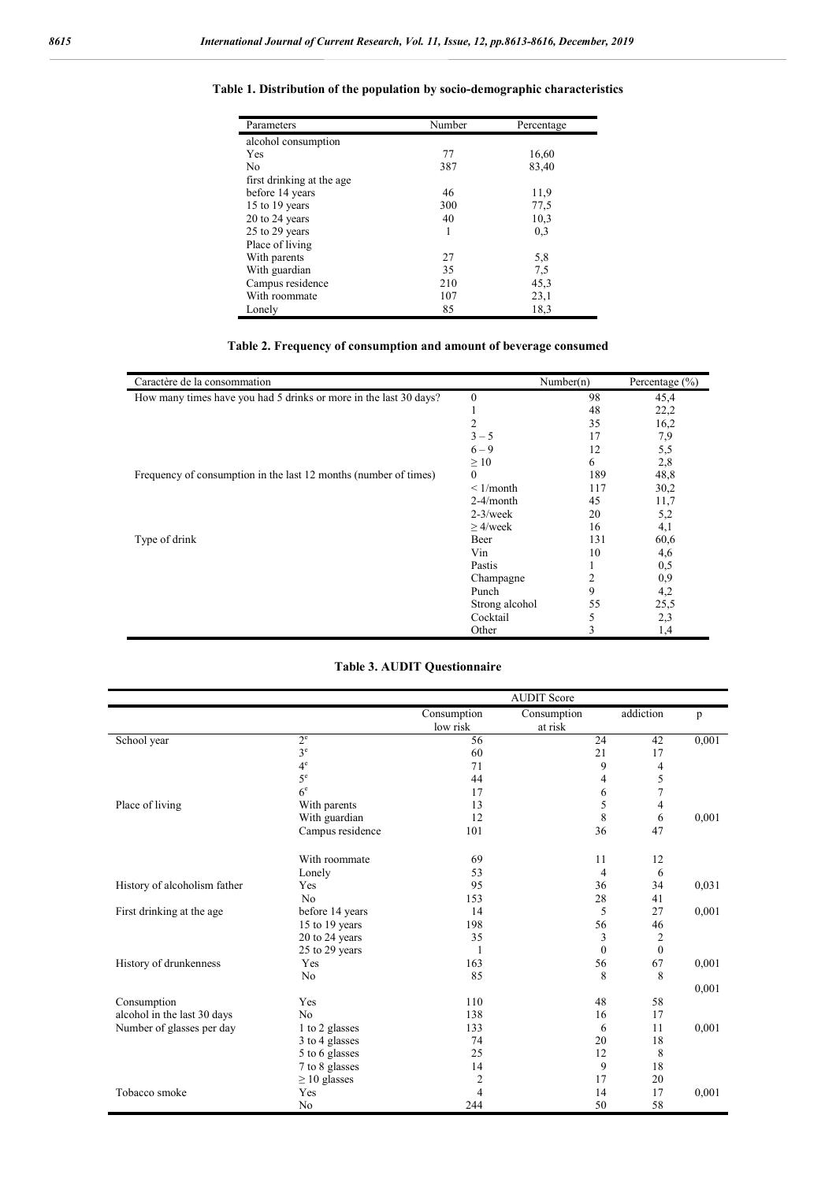| Parameters                | Number | Percentage |  |
|---------------------------|--------|------------|--|
| alcohol consumption       |        |            |  |
| Yes                       | 77     | 16,60      |  |
| N <sub>0</sub>            | 387    | 83,40      |  |
| first drinking at the age |        |            |  |
| before 14 years           | 46     | 11,9       |  |
| 15 to 19 years            | 300    | 77,5       |  |
| 20 to 24 years            | 40     | 10,3       |  |
| 25 to 29 years            | 1      | 0,3        |  |
| Place of living           |        |            |  |
| With parents              | 27     | 5,8        |  |
| With guardian             | 35     | 7.5        |  |
| Campus residence          | 210    | 45,3       |  |
| With roommate             | 107    | 23,1       |  |
| Lonely                    | 85     | 18,3       |  |

#### **Table 1. Distribution of the population by socio-demographic characteristics**

#### **Table 2. Frequency of consumption and amount of beverage consumed**

| Caractère de la consommation                                      |                | Number(n) | Percentage (%) |
|-------------------------------------------------------------------|----------------|-----------|----------------|
| How many times have you had 5 drinks or more in the last 30 days? | $\mathbf{0}$   | 98        | 45,4           |
|                                                                   | л.             | 48        | 22,2           |
|                                                                   | 2              | 35        | 16,2           |
|                                                                   | $3 - 5$        | 17        | 7,9            |
|                                                                   | $6 - 9$        | 12        | 5,5            |
|                                                                   | $\geq 10$      | 6         | 2,8            |
| Frequency of consumption in the last 12 months (number of times)  | $\theta$       | 189       | 48,8           |
|                                                                   | $\leq$ 1/month | 117       | 30,2           |
|                                                                   | $2-4/month$    | 45        | 11,7           |
|                                                                   | $2-3$ /week    | 20        | 5,2            |
|                                                                   | $>4$ /week     | 16        | 4,1            |
| Type of drink                                                     | Beer           | 131       | 60,6           |
|                                                                   | Vin            | 10        | 4,6            |
|                                                                   | Pastis         |           | 0,5            |
|                                                                   | Champagne      | 2         | 0,9            |
|                                                                   | Punch          | 9         | 4,2            |
|                                                                   | Strong alcohol | 55        | 25,5           |
|                                                                   | Cocktail       | 5         | 2,3            |
|                                                                   | Other          | 3         | 1,4            |

#### **Table 3. AUDIT Questionnaire**

|                              |                   | <b>AUDIT</b> Score |             |                              |       |
|------------------------------|-------------------|--------------------|-------------|------------------------------|-------|
|                              |                   | Consumption        | Consumption | addiction                    | p     |
|                              |                   | low risk           | at risk     |                              |       |
| School year                  | $2^{\circ}$       | 56                 | 24          | 42                           | 0,001 |
|                              | 3 <sup>e</sup>    | 60                 | 21          | 17                           |       |
|                              | $4^{\circ}$       | 71                 |             | 9<br>4                       |       |
|                              | 5 <sup>e</sup>    | 44                 |             | 5<br>4                       |       |
|                              | 6 <sup>e</sup>    | 17                 |             | $\tau$<br>6                  |       |
| Place of living              | With parents      | 13                 |             | 5<br>$\overline{4}$          |       |
|                              | With guardian     | 12                 |             | 8<br>6                       | 0,001 |
|                              | Campus residence  | 101                | 36          | 47                           |       |
|                              | With roommate     | 69                 | 11          | 12                           |       |
|                              | Lonely            | 53                 |             | $\overline{4}$<br>6          |       |
| History of alcoholism father | Yes               | 95                 | 36          | 34                           | 0,031 |
|                              | N <sub>o</sub>    | 153                | 28          | 41                           |       |
| First drinking at the age    | before 14 years   | 14                 |             | 27<br>5                      | 0,001 |
|                              | 15 to 19 years    | 198                | 56          | 46                           |       |
|                              | 20 to 24 years    | 35                 |             | 3<br>$\overline{c}$          |       |
|                              | 25 to 29 years    | 1                  |             | $\mathbf{0}$<br>$\mathbf{0}$ |       |
| History of drunkenness       | Yes               | 163                | 56          | 67                           | 0,001 |
|                              | N <sub>o</sub>    | 85                 |             | 8<br>8                       |       |
|                              |                   |                    |             |                              | 0,001 |
| Consumption                  | Yes               | 110                | 48          | 58                           |       |
| alcohol in the last 30 days  | N <sub>0</sub>    | 138                | 16          | 17                           |       |
| Number of glasses per day    | 1 to 2 glasses    | 133                |             | 6<br>11                      | 0,001 |
|                              | 3 to 4 glasses    | 74                 | 20          | 18                           |       |
|                              | 5 to 6 glasses    | 25                 | 12          | 8                            |       |
|                              | 7 to 8 glasses    | 14                 |             | 9<br>18                      |       |
|                              | $\geq 10$ glasses | 2                  | 17          | 20                           |       |
| Tobacco smoke                | Yes               | $\overline{4}$     | 14          | 17                           | 0,001 |
|                              | N <sub>o</sub>    | 244                | 50          | 58                           |       |